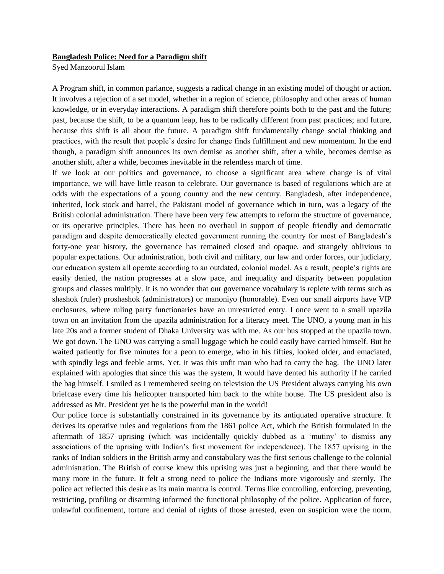## **Bangladesh Police: Need for a Paradigm shift**

Syed Manzoorul Islam

A Program shift, in common parlance, suggests a radical change in an existing model of thought or action. It involves a rejection of a set model, whether in a region of science, philosophy and other areas of human knowledge, or in everyday interactions. A paradigm shift therefore points both to the past and the future; past, because the shift, to be a quantum leap, has to be radically different from past practices; and future, because this shift is all about the future. A paradigm shift fundamentally change social thinking and practices, with the result that people's desire for change finds fulfillment and new momentum. In the end though, a paradigm shift announces its own demise as another shift, after a while, becomes demise as another shift, after a while, becomes inevitable in the relentless march of time.

If we look at our politics and governance, to choose a significant area where change is of vital importance, we will have little reason to celebrate. Our governance is based of regulations which are at odds with the expectations of a young country and the new century. Bangladesh, after independence, inherited, lock stock and barrel, the Pakistani model of governance which in turn, was a legacy of the British colonial administration. There have been very few attempts to reform the structure of governance, or its operative principles. There has been no overhaul in support of people friendly and democratic paradigm and despite democratically elected government running the country for most of Bangladesh's forty-one year history, the governance has remained closed and opaque, and strangely oblivious to popular expectations. Our administration, both civil and military, our law and order forces, our judiciary, our education system all operate according to an outdated, colonial model. As a result, people's rights are easily denied, the nation progresses at a slow pace, and inequality and disparity between population groups and classes multiply. It is no wonder that our governance vocabulary is replete with terms such as shashok (ruler) proshashok (administrators) or manoniyo (honorable). Even our small airports have VIP enclosures, where ruling party functionaries have an unrestricted entry. I once went to a small upazila town on an invitation from the upazila administration for a literacy meet. The UNO, a young man in his late 20s and a former student of Dhaka University was with me. As our bus stopped at the upazila town. We got down. The UNO was carrying a small luggage which he could easily have carried himself. But he waited patiently for five minutes for a peon to emerge, who in his fifties, looked older, and emaciated, with spindly legs and feeble arms. Yet, it was this unfit man who had to carry the bag. The UNO later explained with apologies that since this was the system, It would have dented his authority if he carried the bag himself. I smiled as I remembered seeing on television the US President always carrying his own briefcase every time his helicopter transported him back to the white house. The US president also is addressed as Mr. President yet he is the powerful man in the world!

Our police force is substantially constrained in its governance by its antiquated operative structure. It derives its operative rules and regulations from the 1861 police Act, which the British formulated in the aftermath of 1857 uprising (which was incidentally quickly dubbed as a 'mutiny' to dismiss any associations of the uprising with Indian's first movement for independence). The 1857 uprising in the ranks of Indian soldiers in the British army and constabulary was the first serious challenge to the colonial administration. The British of course knew this uprising was just a beginning, and that there would be many more in the future. It felt a strong need to police the Indians more vigorously and sternly. The police act reflected this desire as its main mantra is control. Terms like controlling, enforcing, preventing, restricting, profiling or disarming informed the functional philosophy of the police. Application of force, unlawful confinement, torture and denial of rights of those arrested, even on suspicion were the norm.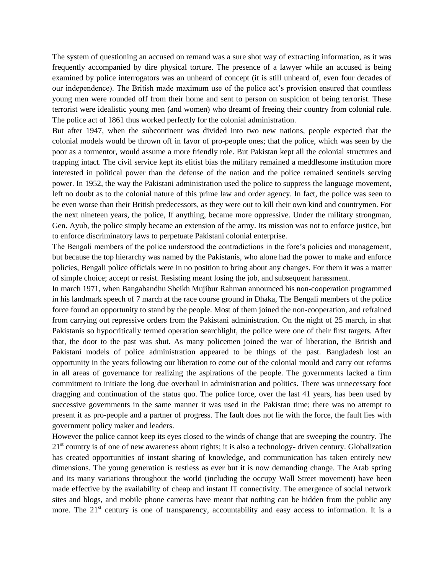The system of questioning an accused on remand was a sure shot way of extracting information, as it was frequently accompanied by dire physical torture. The presence of a lawyer while an accused is being examined by police interrogators was an unheard of concept (it is still unheard of, even four decades of our independence). The British made maximum use of the police act's provision ensured that countless young men were rounded off from their home and sent to person on suspicion of being terrorist. These terrorist were idealistic young men (and women) who dreamt of freeing their country from colonial rule. The police act of 1861 thus worked perfectly for the colonial administration.

But after 1947, when the subcontinent was divided into two new nations, people expected that the colonial models would be thrown off in favor of pro-people ones; that the police, which was seen by the poor as a tormentor, would assume a more friendly role. But Pakistan kept all the colonial structures and trapping intact. The civil service kept its elitist bias the military remained a meddlesome institution more interested in political power than the defense of the nation and the police remained sentinels serving power. In 1952, the way the Pakistani administration used the police to suppress the language movement, left no doubt as to the colonial nature of this prime law and order agency. In fact, the police was seen to be even worse than their British predecessors, as they were out to kill their own kind and countrymen. For the next nineteen years, the police, If anything, became more oppressive. Under the military strongman, Gen. Ayub, the police simply became an extension of the army. Its mission was not to enforce justice, but to enforce discriminatory laws to perpetuate Pakistani colonial enterprise.

The Bengali members of the police understood the contradictions in the fore's policies and management, but because the top hierarchy was named by the Pakistanis, who alone had the power to make and enforce policies, Bengali police officials were in no position to bring about any changes. For them it was a matter of simple choice; accept or resist. Resisting meant losing the job, and subsequent harassment.

In march 1971, when Bangabandhu Sheikh Mujibur Rahman announced his non-cooperation programmed in his landmark speech of 7 march at the race course ground in Dhaka, The Bengali members of the police force found an opportunity to stand by the people. Most of them joined the non-cooperation, and refrained from carrying out repressive orders from the Pakistani administration. On the night of 25 march, in shat Pakistanis so hypocritically termed operation searchlight, the police were one of their first targets. After that, the door to the past was shut. As many policemen joined the war of liberation, the British and Pakistani models of police administration appeared to be things of the past. Bangladesh lost an opportunity in the years following our liberation to come out of the colonial mould and carry out reforms in all areas of governance for realizing the aspirations of the people. The governments lacked a firm commitment to initiate the long due overhaul in administration and politics. There was unnecessary foot dragging and continuation of the status quo. The police force, over the last 41 years, has been used by successive governments in the same manner it was used in the Pakistan time; there was no attempt to present it as pro-people and a partner of progress. The fault does not lie with the force, the fault lies with government policy maker and leaders.

However the police cannot keep its eyes closed to the winds of change that are sweeping the country. The  $21<sup>st</sup>$  country is of one of new awareness about rights; it is also a technology- driven century. Globalization has created opportunities of instant sharing of knowledge, and communication has taken entirely new dimensions. The young generation is restless as ever but it is now demanding change. The Arab spring and its many variations throughout the world (including the occupy Wall Street movement) have been made effective by the availability of cheap and instant IT connectivity. The emergence of social network sites and blogs, and mobile phone cameras have meant that nothing can be hidden from the public any more. The  $21<sup>st</sup>$  century is one of transparency, accountability and easy access to information. It is a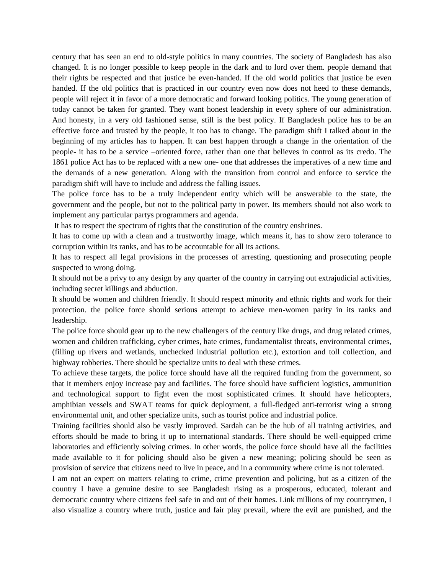century that has seen an end to old-style politics in many countries. The society of Bangladesh has also changed. It is no longer possible to keep people in the dark and to lord over them. people demand that their rights be respected and that justice be even-handed. If the old world politics that justice be even handed. If the old politics that is practiced in our country even now does not heed to these demands, people will reject it in favor of a more democratic and forward looking politics. The young generation of today cannot be taken for granted. They want honest leadership in every sphere of our administration. And honesty, in a very old fashioned sense, still is the best policy. If Bangladesh police has to be an effective force and trusted by the people, it too has to change. The paradigm shift I talked about in the beginning of my articles has to happen. It can best happen through a change in the orientation of the people- it has to be a service –oriented force, rather than one that believes in control as its credo. The 1861 police Act has to be replaced with a new one- one that addresses the imperatives of a new time and the demands of a new generation. Along with the transition from control and enforce to service the paradigm shift will have to include and address the falling issues.

The police force has to be a truly independent entity which will be answerable to the state, the government and the people, but not to the political party in power. Its members should not also work to implement any particular partys programmers and agenda.

It has to respect the spectrum of rights that the constitution of the country enshrines.

It has to come up with a clean and a trustworthy image, which means it, has to show zero tolerance to corruption within its ranks, and has to be accountable for all its actions.

It has to respect all legal provisions in the processes of arresting, questioning and prosecuting people suspected to wrong doing.

It should not be a privy to any design by any quarter of the country in carrying out extrajudicial activities, including secret killings and abduction.

It should be women and children friendly. It should respect minority and ethnic rights and work for their protection. the police force should serious attempt to achieve men-women parity in its ranks and leadership.

The police force should gear up to the new challengers of the century like drugs, and drug related crimes, women and children trafficking, cyber crimes, hate crimes, fundamentalist threats, environmental crimes, (filling up rivers and wetlands, unchecked industrial pollution etc.), extortion and toll collection, and highway robberies. There should be specialize units to deal with these crimes.

To achieve these targets, the police force should have all the required funding from the government, so that it members enjoy increase pay and facilities. The force should have sufficient logistics, ammunition and technological support to fight even the most sophisticated crimes. It should have helicopters, amphibian vessels and SWAT teams for quick deployment, a full-fledged anti-terrorist wing a strong environmental unit, and other specialize units, such as tourist police and industrial police.

Training facilities should also be vastly improved. Sardah can be the hub of all training activities, and efforts should be made to bring it up to international standards. There should be well-equipped crime laboratories and efficiently solving crimes. In other words, the police force should have all the facilities made available to it for policing should also be given a new meaning; policing should be seen as provision of service that citizens need to live in peace, and in a community where crime is not tolerated.

I am not an expert on matters relating to crime, crime prevention and policing, but as a citizen of the country I have a genuine desire to see Bangladesh rising as a prosperous, educated, tolerant and democratic country where citizens feel safe in and out of their homes. Link millions of my countrymen, I also visualize a country where truth, justice and fair play prevail, where the evil are punished, and the